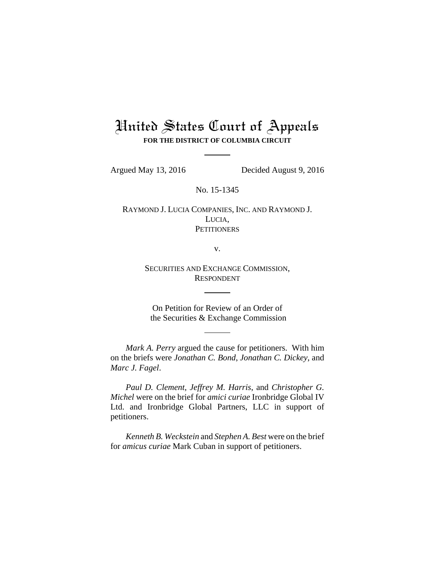## United States Court of Appeals **FOR THE DISTRICT OF COLUMBIA CIRCUIT**

Argued May 13, 2016 Decided August 9, 2016

No. 15-1345

RAYMOND J. LUCIA COMPANIES, INC. AND RAYMOND J. LUCIA, **PETITIONERS** 

v.

SECURITIES AND EXCHANGE COMMISSION, RESPONDENT

On Petition for Review of an Order of the Securities & Exchange Commission

*Mark A. Perry* argued the cause for petitioners. With him on the briefs were *Jonathan C. Bond*, *Jonathan C. Dickey*, and *Marc J. Fagel*.

*Paul D. Clement*, *Jeffrey M. Harris*, and *Christopher G. Michel* were on the brief for *amici curiae* Ironbridge Global IV Ltd. and Ironbridge Global Partners, LLC in support of petitioners.

*Kenneth B. Weckstein* and *Stephen A. Best* were on the brief for *amicus curiae* Mark Cuban in support of petitioners.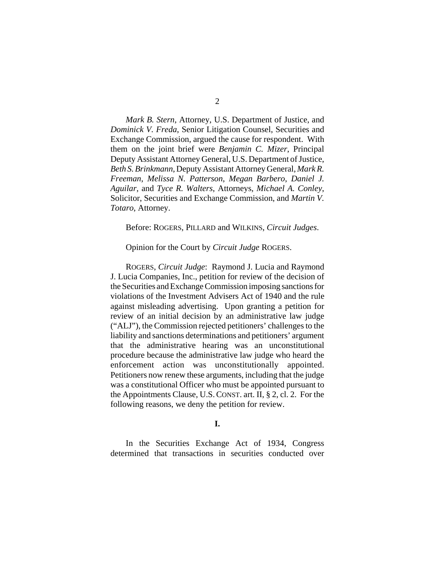*Mark B. Stern*, Attorney, U.S. Department of Justice, and *Dominick V. Freda*, Senior Litigation Counsel, Securities and Exchange Commission, argued the cause for respondent. With them on the joint brief were *Benjamin C. Mizer*, Principal Deputy Assistant Attorney General, U.S. Department of Justice, *Beth S. Brinkmann*, Deputy Assistant Attorney General, *Mark R. Freeman*, *Melissa N. Patterson*, *Megan Barbero*, *Daniel J. Aguilar*, and *Tyce R. Walters*, Attorneys, *Michael A. Conley*, Solicitor, Securities and Exchange Commission, and *Martin V. Totaro*, Attorney.

Before: ROGERS, PILLARD and WILKINS, *Circuit Judges*.

Opinion for the Court by *Circuit Judge* ROGERS.

ROGERS, *Circuit Judge*: Raymond J. Lucia and Raymond J. Lucia Companies, Inc., petition for review of the decision of the Securities and Exchange Commission imposing sanctions for violations of the Investment Advisers Act of 1940 and the rule against misleading advertising. Upon granting a petition for review of an initial decision by an administrative law judge ("ALJ"), the Commission rejected petitioners' challenges to the liability and sanctions determinations and petitioners' argument that the administrative hearing was an unconstitutional procedure because the administrative law judge who heard the enforcement action was unconstitutionally appointed. Petitioners now renew these arguments, including that the judge was a constitutional Officer who must be appointed pursuant to the Appointments Clause, U.S.CONST. art. II, § 2, cl. 2. For the following reasons, we deny the petition for review.

**I.**

In the Securities Exchange Act of 1934, Congress determined that transactions in securities conducted over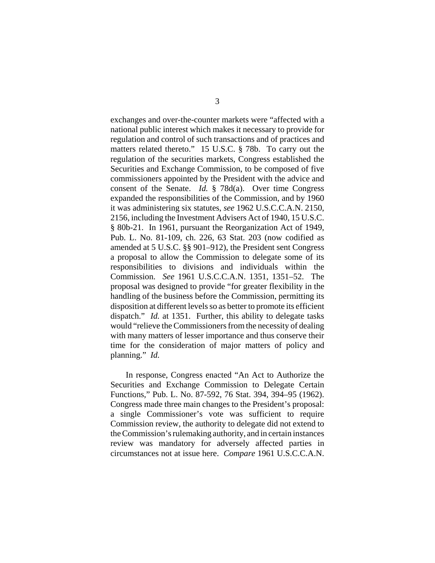exchanges and over-the-counter markets were "affected with a national public interest which makes it necessary to provide for regulation and control of such transactions and of practices and matters related thereto." 15 U.S.C. § 78b. To carry out the regulation of the securities markets, Congress established the Securities and Exchange Commission, to be composed of five commissioners appointed by the President with the advice and consent of the Senate. *Id.* § 78d(a). Over time Congress expanded the responsibilities of the Commission, and by 1960 it was administering six statutes, *see* 1962 U.S.C.C.A.N. 2150, 2156, including the Investment Advisers Act of 1940, 15 U.S.C. § 80b-21. In 1961, pursuant the Reorganization Act of 1949, Pub. L. No. 81-109, ch. 226, 63 Stat. 203 (now codified as amended at 5 U.S.C. §§ 901–912), the President sent Congress a proposal to allow the Commission to delegate some of its responsibilities to divisions and individuals within the Commission. *See* 1961 U.S.C.C.A.N. 1351, 1351–52. The proposal was designed to provide "for greater flexibility in the handling of the business before the Commission, permitting its disposition at different levels so as better to promote its efficient dispatch." *Id.* at 1351. Further, this ability to delegate tasks would "relieve the Commissioners from the necessity of dealing with many matters of lesser importance and thus conserve their time for the consideration of major matters of policy and planning." *Id.*

In response, Congress enacted "An Act to Authorize the Securities and Exchange Commission to Delegate Certain Functions," Pub. L. No. 87-592, 76 Stat. 394, 394–95 (1962). Congress made three main changes to the President's proposal: a single Commissioner's vote was sufficient to require Commission review, the authority to delegate did not extend to the Commission's rulemaking authority, and in certain instances review was mandatory for adversely affected parties in circumstances not at issue here. *Compare* 1961 U.S.C.C.A.N.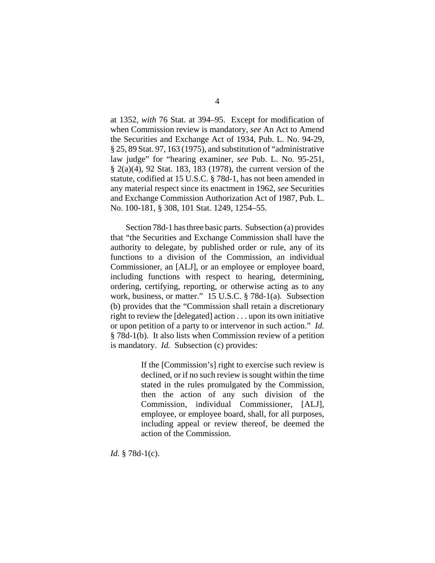at 1352, *with* 76 Stat. at 394–95. Except for modification of when Commission review is mandatory, *see* An Act to Amend the Securities and Exchange Act of 1934, Pub. L. No. 94-29, § 25, 89 Stat. 97, 163 (1975), and substitution of "administrative law judge" for "hearing examiner, *see* Pub. L. No. 95-251, § 2(a)(4), 92 Stat. 183, 183 (1978), the current version of the statute, codified at 15 U.S.C. § 78d-1, has not been amended in any material respect since its enactment in 1962, *see* Securities and Exchange Commission Authorization Act of 1987, Pub. L. No. 100-181, § 308, 101 Stat. 1249, 1254–55.

Section 78d-1 has three basic parts. Subsection (a) provides that "the Securities and Exchange Commission shall have the authority to delegate, by published order or rule, any of its functions to a division of the Commission, an individual Commissioner, an [ALJ], or an employee or employee board, including functions with respect to hearing, determining, ordering, certifying, reporting, or otherwise acting as to any work, business, or matter." 15 U.S.C. § 78d-1(a). Subsection (b) provides that the "Commission shall retain a discretionary right to review the [delegated] action . . . upon its own initiative or upon petition of a party to or intervenor in such action." *Id.* § 78d-1(b). It also lists when Commission review of a petition is mandatory. *Id.* Subsection (c) provides:

> If the [Commission's] right to exercise such review is declined, or if no such review is sought within the time stated in the rules promulgated by the Commission, then the action of any such division of the Commission, individual Commissioner, [ALJ], employee, or employee board, shall, for all purposes, including appeal or review thereof, be deemed the action of the Commission.

*Id.* § 78d-1(c).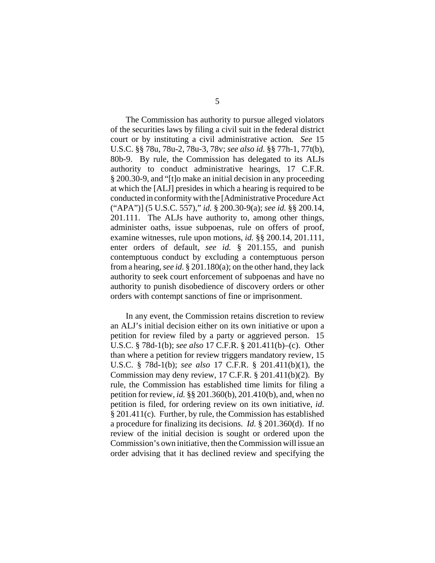The Commission has authority to pursue alleged violators of the securities laws by filing a civil suit in the federal district court or by instituting a civil administrative action. *See* 15 U.S.C. §§ 78u, 78u-2, 78u-3, 78v; *see also id.* §§ 77h-1, 77t(b), 80b-9. By rule, the Commission has delegated to its ALJs authority to conduct administrative hearings, 17 C.F.R. § 200.30-9, and "[t]o make an initial decision in any proceeding at which the [ALJ] presides in which a hearing is required to be conducted in conformity with the [Administrative Procedure Act ("APA")] (5 U.S.C. 557)," *id.* § 200.30-9(a); *see id.* §§ 200.14, 201.111. The ALJs have authority to, among other things, administer oaths, issue subpoenas, rule on offers of proof, examine witnesses, rule upon motions, *id.* §§ 200.14, 201.111, enter orders of default, *see id.* § 201.155, and punish contemptuous conduct by excluding a contemptuous person from a hearing, *see id.* § 201.180(a); on the other hand, they lack authority to seek court enforcement of subpoenas and have no authority to punish disobedience of discovery orders or other orders with contempt sanctions of fine or imprisonment.

In any event, the Commission retains discretion to review an ALJ's initial decision either on its own initiative or upon a petition for review filed by a party or aggrieved person. 15 U.S.C. § 78d-1(b); *see also* 17 C.F.R. § 201.411(b)–(c). Other than where a petition for review triggers mandatory review, 15 U.S.C. § 78d-1(b); *see also* 17 C.F.R. § 201.411(b)(1), the Commission may deny review, 17 C.F.R. § 201.411(b)(2). By rule, the Commission has established time limits for filing a petition for review, *id.* §§ 201.360(b), 201.410(b), and, when no petition is filed, for ordering review on its own initiative, *id*. § 201.411(c). Further, by rule, the Commission has established a procedure for finalizing its decisions. *Id.* § 201.360(d). If no review of the initial decision is sought or ordered upon the Commission's own initiative, then the Commission will issue an order advising that it has declined review and specifying the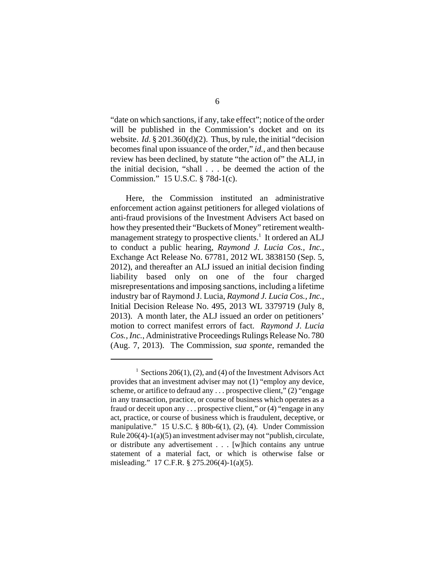"date on which sanctions, if any, take effect"; notice of the order will be published in the Commission's docket and on its website. *Id*. § 201.360(d)(2). Thus, by rule, the initial "decision becomes final upon issuance of the order," *id.*, and then because review has been declined, by statute "the action of" the ALJ, in the initial decision, "shall . . . be deemed the action of the Commission." 15 U.S.C. § 78d-1(c).

Here, the Commission instituted an administrative enforcement action against petitioners for alleged violations of anti-fraud provisions of the Investment Advisers Act based on how they presented their "Buckets of Money" retirement wealthmanagement strategy to prospective clients.<sup>1</sup> It ordered an ALJ to conduct a public hearing, *Raymond J. Lucia Cos., Inc.*, Exchange Act Release No. 67781, 2012 WL 3838150 (Sep. 5, 2012), and thereafter an ALJ issued an initial decision finding liability based only on one of the four charged misrepresentations and imposing sanctions, including a lifetime industry bar of Raymond J. Lucia, *Raymond J. Lucia Cos., Inc.*, Initial Decision Release No. 495, 2013 WL 3379719 (July 8, 2013). A month later, the ALJ issued an order on petitioners' motion to correct manifest errors of fact. *Raymond J. Lucia Cos., Inc.*, Administrative Proceedings Rulings Release No. 780 (Aug. 7, 2013). The Commission, *sua sponte*, remanded the

<sup>&</sup>lt;sup>1</sup> Sections 206(1), (2), and (4) of the Investment Advisors Act provides that an investment adviser may not (1) "employ any device, scheme, or artifice to defraud any . . . prospective client," (2) "engage in any transaction, practice, or course of business which operates as a fraud or deceit upon any . . . prospective client," or (4) "engage in any act, practice, or course of business which is fraudulent, deceptive, or manipulative." 15 U.S.C. § 80b-6(1), (2), (4). Under Commission Rule 206(4)-1(a)(5) an investment adviser may not "publish, circulate, or distribute any advertisement . . . [w]hich contains any untrue statement of a material fact, or which is otherwise false or misleading." 17 C.F.R. § 275.206(4)-1(a)(5).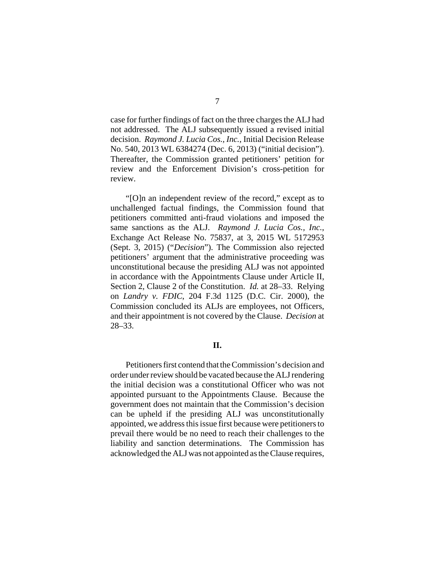case for further findings of fact on the three charges the ALJ had not addressed. The ALJ subsequently issued a revised initial decision. *Raymond J. Lucia Cos., Inc.*, Initial Decision Release No. 540, 2013 WL 6384274 (Dec. 6, 2013) ("initial decision"). Thereafter, the Commission granted petitioners' petition for review and the Enforcement Division's cross-petition for review.

"[O]n an independent review of the record," except as to unchallenged factual findings, the Commission found that petitioners committed anti-fraud violations and imposed the same sanctions as the ALJ. *Raymond J. Lucia Cos., Inc.*, Exchange Act Release No. 75837, at 3, 2015 WL 5172953 (Sept. 3, 2015) ("*Decision*"). The Commission also rejected petitioners' argument that the administrative proceeding was unconstitutional because the presiding ALJ was not appointed in accordance with the Appointments Clause under Article II, Section 2, Clause 2 of the Constitution. *Id.* at 28–33. Relying on *Landry v. FDIC*, 204 F.3d 1125 (D.C. Cir. 2000), the Commission concluded its ALJs are employees, not Officers, and their appointment is not covered by the Clause. *Decision* at 28–33.

## **II.**

Petitioners first contend that the Commission's decision and order under review should be vacated because the ALJ rendering the initial decision was a constitutional Officer who was not appointed pursuant to the Appointments Clause. Because the government does not maintain that the Commission's decision can be upheld if the presiding ALJ was unconstitutionally appointed, we address this issue first because were petitioners to prevail there would be no need to reach their challenges to the liability and sanction determinations. The Commission has acknowledged the ALJ was not appointed as the Clause requires,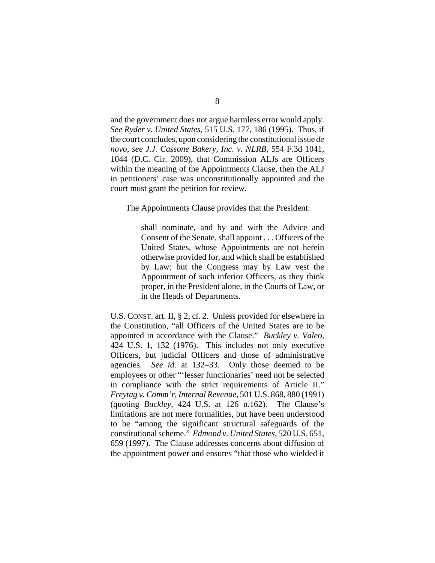and the government does not argue harmless error would apply. *See Ryder v. United States*, 515 U.S. 177, 186 (1995). Thus, if the court concludes, upon considering the constitutional issue *de novo*, *see J.J. Cassone Bakery, Inc. v. NLRB*, 554 F.3d 1041, 1044 (D.C. Cir. 2009), that Commission ALJs are Officers within the meaning of the Appointments Clause, then the ALJ in petitioners' case was unconstitutionally appointed and the court must grant the petition for review.

The Appointments Clause provides that the President:

shall nominate, and by and with the Advice and Consent of the Senate, shall appoint . . . Officers of the United States, whose Appointments are not herein otherwise provided for, and which shall be established by Law: but the Congress may by Law vest the Appointment of such inferior Officers, as they think proper, in the President alone, in the Courts of Law, or in the Heads of Departments.

U.S. CONST. art. II, § 2, cl. 2. Unless provided for elsewhere in the Constitution, "all Officers of the United States are to be appointed in accordance with the Clause." *Buckley v. Valeo*, 424 U.S. 1, 132 (1976). This includes not only executive Officers, but judicial Officers and those of administrative agencies. *See id.* at 132–33. Only those deemed to be employees or other "'lesser functionaries' need not be selected in compliance with the strict requirements of Article II." *Freytag v. Comm'r, Internal Revenue*, 501 U.S. 868, 880 (1991) (quoting *Buckley*, 424 U.S. at 126 n.162). The Clause's limitations are not mere formalities, but have been understood to be "among the significant structural safeguards of the constitutional scheme." *Edmond v. United States*, 520 U.S. 651, 659 (1997). The Clause addresses concerns about diffusion of the appointment power and ensures "that those who wielded it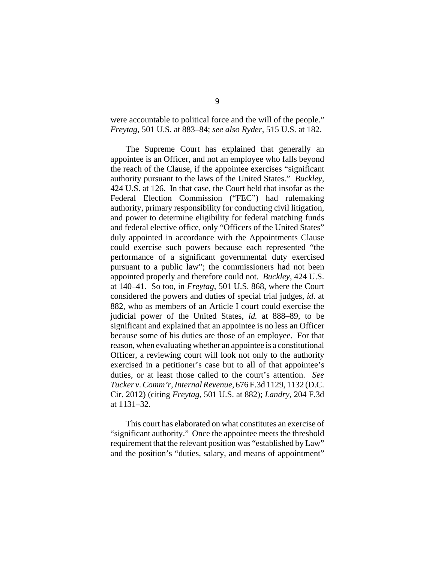were accountable to political force and the will of the people." *Freytag*, 501 U.S. at 883–84; *see also Ryder*, 515 U.S. at 182.

The Supreme Court has explained that generally an appointee is an Officer, and not an employee who falls beyond the reach of the Clause, if the appointee exercises "significant authority pursuant to the laws of the United States." *Buckley*, 424 U.S. at 126. In that case, the Court held that insofar as the Federal Election Commission ("FEC") had rulemaking authority, primary responsibility for conducting civil litigation, and power to determine eligibility for federal matching funds and federal elective office, only "Officers of the United States" duly appointed in accordance with the Appointments Clause could exercise such powers because each represented "the performance of a significant governmental duty exercised pursuant to a public law"; the commissioners had not been appointed properly and therefore could not. *Buckley*, 424 U.S. at 140–41. So too, in *Freytag*, 501 U.S. 868, where the Court considered the powers and duties of special trial judges, *id*. at 882, who as members of an Article I court could exercise the judicial power of the United States, *id.* at 888–89, to be significant and explained that an appointee is no less an Officer because some of his duties are those of an employee. For that reason, when evaluating whether an appointee is a constitutional Officer, a reviewing court will look not only to the authority exercised in a petitioner's case but to all of that appointee's duties, or at least those called to the court's attention. *See Tucker v. Comm'r, Internal Revenue*, 676 F.3d 1129, 1132 (D.C. Cir. 2012) (citing *Freytag*, 501 U.S. at 882); *Landry*, 204 F.3d at 1131–32.

This court has elaborated on what constitutes an exercise of "significant authority." Once the appointee meets the threshold requirement that the relevant position was "established by Law" and the position's "duties, salary, and means of appointment"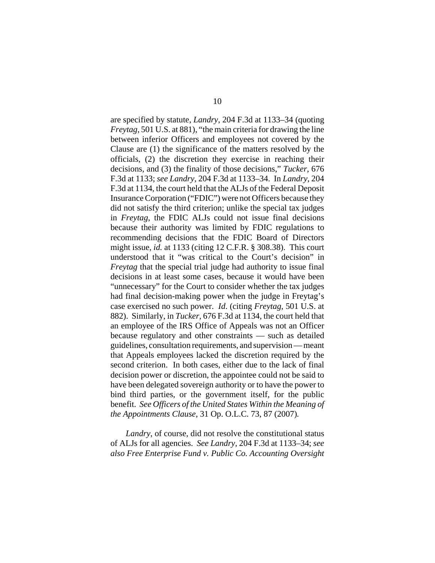are specified by statute, *Landry*, 204 F.3d at 1133–34 (quoting *Freytag*, 501 U.S. at 881), "the main criteria for drawing the line between inferior Officers and employees not covered by the Clause are (1) the significance of the matters resolved by the officials, (2) the discretion they exercise in reaching their decisions, and (3) the finality of those decisions," *Tucker*, 676 F.3d at 1133; *see Landry*, 204 F.3d at 1133–34. In *Landry*, 204 F.3d at 1134, the court held that the ALJs of the Federal Deposit Insurance Corporation ("FDIC") were not Officers because they did not satisfy the third criterion; unlike the special tax judges in *Freytag*, the FDIC ALJs could not issue final decisions because their authority was limited by FDIC regulations to recommending decisions that the FDIC Board of Directors might issue, *id.* at 1133 (citing 12 C.F.R. § 308.38). This court understood that it "was critical to the Court's decision" in *Freytag* that the special trial judge had authority to issue final decisions in at least some cases, because it would have been "unnecessary" for the Court to consider whether the tax judges had final decision-making power when the judge in Freytag's case exercised no such power. *Id*. (citing *Freytag*, 501 U.S. at 882). Similarly, in *Tucker*, 676 F.3d at 1134, the court held that an employee of the IRS Office of Appeals was not an Officer because regulatory and other constraints — such as detailed guidelines, consultation requirements, and supervision — meant that Appeals employees lacked the discretion required by the second criterion. In both cases, either due to the lack of final decision power or discretion, the appointee could not be said to have been delegated sovereign authority or to have the power to bind third parties, or the government itself, for the public benefit. *See Officers of the United States Within the Meaning of the Appointments Clause*, 31 Op. O.L.C. 73, 87 (2007)*.*

*Landry*, of course, did not resolve the constitutional status of ALJs for all agencies. *See Landry,* 204 F.3d at 1133–34; *see also Free Enterprise Fund v. Public Co. Accounting Oversight*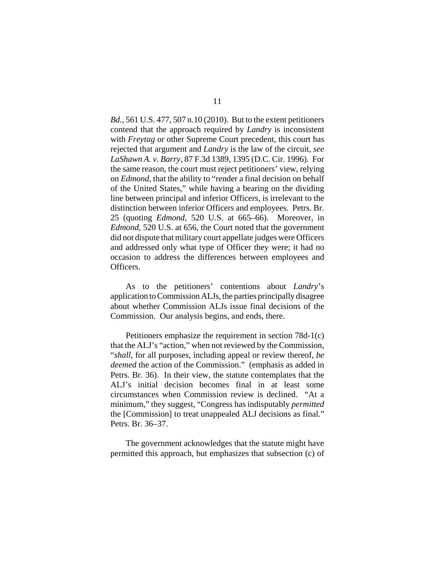*Bd.*, 561 U.S. 477, 507 n.10 (2010). But to the extent petitioners contend that the approach required by *Landry* is inconsistent with *Freytag* or other Supreme Court precedent, this court has rejected that argument and *Landry* is the law of the circuit, *see LaShawn A. v. Barry*, 87 F.3d 1389, 1395 (D.C. Cir. 1996). For the same reason, the court must reject petitioners' view, relying on *Edmond*, that the ability to "render a final decision on behalf of the United States," while having a bearing on the dividing line between principal and inferior Officers, is irrelevant to the distinction between inferior Officers and employees. Petrs. Br. 25 (quoting *Edmond*, 520 U.S. at 665–66). Moreover, in *Edmond*, 520 U.S. at 656, the Court noted that the government did not dispute that military court appellate judges were Officers and addressed only what type of Officer they were; it had no occasion to address the differences between employees and Officers.

As to the petitioners' contentions about *Landry*'s application to Commission ALJs, the parties principally disagree about whether Commission ALJs issue final decisions of the Commission. Our analysis begins, and ends, there.

Petitioners emphasize the requirement in section 78d-1(c) that the ALJ's "action," when not reviewed by the Commission, "*shall*, for all purposes, including appeal or review thereof, *be deemed* the action of the Commission." (emphasis as added in Petrs. Br. 36). In their view, the statute contemplates that the ALJ's initial decision becomes final in at least some circumstances when Commission review is declined. "At a minimum," they suggest, "Congress has indisputably *permitted* the [Commission] to treat unappealed ALJ decisions as final." Petrs. Br. 36–37.

The government acknowledges that the statute might have permitted this approach, but emphasizes that subsection (c) of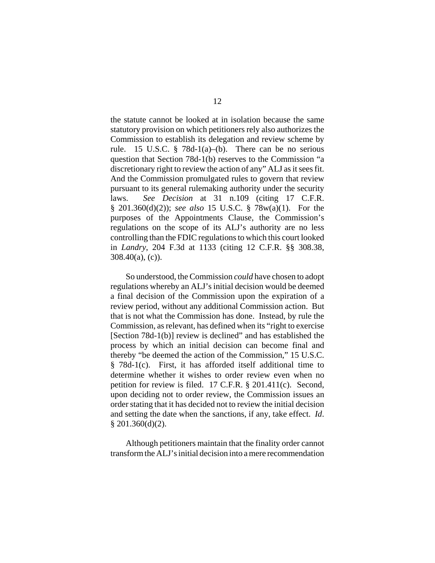the statute cannot be looked at in isolation because the same statutory provision on which petitioners rely also authorizes the Commission to establish its delegation and review scheme by rule. 15 U.S.C.  $\S$  78d-1(a)–(b). There can be no serious question that Section 78d-1(b) reserves to the Commission "a discretionary right to review the action of any" ALJ as it sees fit. And the Commission promulgated rules to govern that review pursuant to its general rulemaking authority under the security laws. *See Decision* at 31 n.109 (citing 17 C.F.R. § 201.360(d)(2)); *see also* 15 U.S.C. § 78w(a)(1). For the purposes of the Appointments Clause, the Commission's regulations on the scope of its ALJ's authority are no less controlling than the FDIC regulations to which this court looked in *Landry*, 204 F.3d at 1133 (citing 12 C.F.R. §§ 308.38, 308.40(a), (c)).

So understood, the Commission *could* have chosen to adopt regulations whereby an ALJ's initial decision would be deemed a final decision of the Commission upon the expiration of a review period, without any additional Commission action. But that is not what the Commission has done. Instead, by rule the Commission, as relevant, has defined when its "right to exercise [Section 78d-1(b)] review is declined" and has established the process by which an initial decision can become final and thereby "be deemed the action of the Commission," 15 U.S.C. § 78d-1(c). First, it has afforded itself additional time to determine whether it wishes to order review even when no petition for review is filed. 17 C.F.R. § 201.411(c). Second, upon deciding not to order review, the Commission issues an order stating that it has decided not to review the initial decision and setting the date when the sanctions, if any, take effect. *Id*. § 201.360(d)(2).

Although petitioners maintain that the finality order cannot transform the ALJ's initial decision into a mere recommendation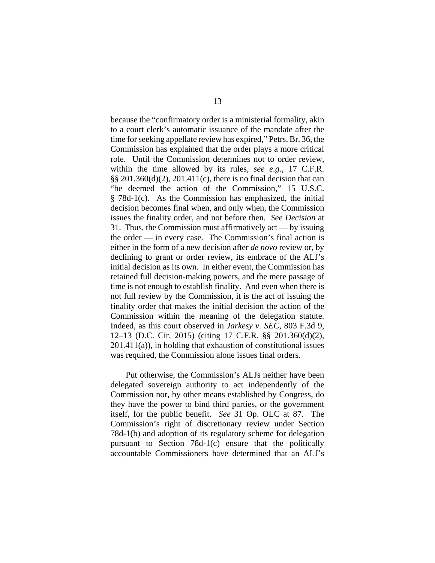because the "confirmatory order is a ministerial formality, akin to a court clerk's automatic issuance of the mandate after the time for seeking appellate review has expired," Petrs. Br. 36, the Commission has explained that the order plays a more critical role. Until the Commission determines not to order review, within the time allowed by its rules, *see e.g.*, 17 C.F.R. §§ 201.360(d)(2), 201.411(c), there is no final decision that can "be deemed the action of the Commission," 15 U.S.C. § 78d-1(c). As the Commission has emphasized, the initial decision becomes final when, and only when, the Commission issues the finality order, and not before then. *See Decision* at 31. Thus, the Commission must affirmatively act — by issuing the order — in every case. The Commission's final action is either in the form of a new decision after *de novo* review or, by declining to grant or order review, its embrace of the ALJ's initial decision as its own. In either event, the Commission has retained full decision-making powers, and the mere passage of time is not enough to establish finality. And even when there is not full review by the Commission, it is the act of issuing the finality order that makes the initial decision the action of the Commission within the meaning of the delegation statute. Indeed, as this court observed in *Jarkesy v. SEC*, 803 F.3d 9, 12–13 (D.C. Cir. 2015) (citing 17 C.F.R. §§ 201.360(d)(2), 201.411(a)), in holding that exhaustion of constitutional issues was required, the Commission alone issues final orders.

Put otherwise, the Commission's ALJs neither have been delegated sovereign authority to act independently of the Commission nor, by other means established by Congress, do they have the power to bind third parties, or the government itself, for the public benefit. *See* 31 Op. OLC at 87. The Commission's right of discretionary review under Section 78d-1(b) and adoption of its regulatory scheme for delegation pursuant to Section 78d-1(c) ensure that the politically accountable Commissioners have determined that an ALJ's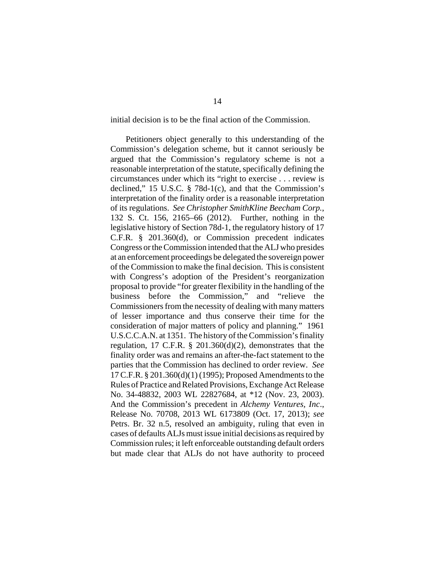initial decision is to be the final action of the Commission.

Petitioners object generally to this understanding of the Commission's delegation scheme, but it cannot seriously be argued that the Commission's regulatory scheme is not a reasonable interpretation of the statute, specifically defining the circumstances under which its "right to exercise . . . review is declined," 15 U.S.C. § 78d-1(c), and that the Commission's interpretation of the finality order is a reasonable interpretation of its regulations. *See Christopher SmithKline Beecham Corp.*, 132 S. Ct. 156, 2165–66 (2012). Further, nothing in the legislative history of Section 78d-1, the regulatory history of 17 C.F.R. § 201.360(d), or Commission precedent indicates Congress or the Commission intended that the ALJ who presides at an enforcement proceedings be delegated the sovereign power of the Commission to make the final decision. This is consistent with Congress's adoption of the President's reorganization proposal to provide "for greater flexibility in the handling of the business before the Commission," and "relieve the Commissioners from the necessity of dealing with many matters of lesser importance and thus conserve their time for the consideration of major matters of policy and planning." 1961 U.S.C.C.A.N. at 1351. The history of the Commission's finality regulation, 17 C.F.R. § 201.360(d)(2), demonstrates that the finality order was and remains an after-the-fact statement to the parties that the Commission has declined to order review. *See* 17 C.F.R. § 201.360(d)(1) (1995); Proposed Amendments to the Rules of Practice and Related Provisions, Exchange Act Release No. 34-48832, 2003 WL 22827684, at \*12 (Nov. 23, 2003). And the Commission's precedent in *Alchemy Ventures, Inc*., Release No. 70708, 2013 WL 6173809 (Oct. 17, 2013); *see* Petrs. Br. 32 n.5, resolved an ambiguity, ruling that even in cases of defaults ALJs must issue initial decisions as required by Commission rules; it left enforceable outstanding default orders but made clear that ALJs do not have authority to proceed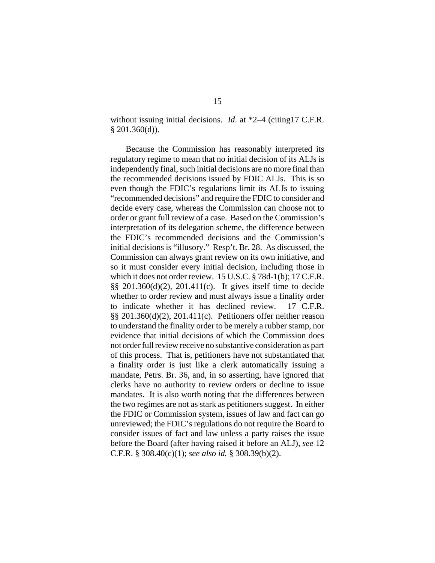without issuing initial decisions. *Id*. at \*2–4 (citing17 C.F.R. § 201.360(d)).

Because the Commission has reasonably interpreted its regulatory regime to mean that no initial decision of its ALJs is independently final, such initial decisions are no more final than the recommended decisions issued by FDIC ALJs. This is so even though the FDIC's regulations limit its ALJs to issuing "recommended decisions" and require the FDIC to consider and decide every case, whereas the Commission can choose not to order or grant full review of a case. Based on the Commission's interpretation of its delegation scheme, the difference between the FDIC's recommended decisions and the Commission's initial decisions is "illusory." Resp't. Br. 28. As discussed, the Commission can always grant review on its own initiative, and so it must consider every initial decision, including those in which it does not order review. 15 U.S.C. § 78d-1(b); 17 C.F.R. §§ 201.360(d)(2), 201.411(c). It gives itself time to decide whether to order review and must always issue a finality order to indicate whether it has declined review. 17 C.F.R. §§ 201.360(d)(2), 201.411(c). Petitioners offer neither reason to understand the finality order to be merely a rubber stamp, nor evidence that initial decisions of which the Commission does not order full review receive no substantive consideration as part of this process. That is, petitioners have not substantiated that a finality order is just like a clerk automatically issuing a mandate, Petrs. Br. 36, and, in so asserting, have ignored that clerks have no authority to review orders or decline to issue mandates. It is also worth noting that the differences between the two regimes are not as stark as petitioners suggest. In either the FDIC or Commission system, issues of law and fact can go unreviewed; the FDIC's regulations do not require the Board to consider issues of fact and law unless a party raises the issue before the Board (after having raised it before an ALJ), *see* 12 C.F.R. § 308.40(c)(1); *see also id.* § 308.39(b)(2).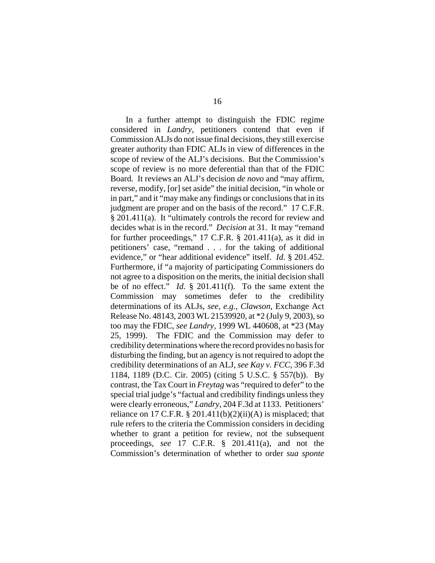In a further attempt to distinguish the FDIC regime considered in *Landry*, petitioners contend that even if Commission ALJs do not issue final decisions, they still exercise greater authority than FDIC ALJs in view of differences in the scope of review of the ALJ's decisions. But the Commission's scope of review is no more deferential than that of the FDIC Board. It reviews an ALJ's decision *de novo* and "may affirm, reverse, modify, [or] set aside" the initial decision, "in whole or in part," and it "may make any findings or conclusions that in its judgment are proper and on the basis of the record." 17 C.F.R. § 201.411(a). It "ultimately controls the record for review and decides what is in the record." *Decision* at 31. It may "remand for further proceedings," 17 C.F.R. § 201.411(a), as it did in petitioners' case, "remand . . . for the taking of additional evidence," or "hear additional evidence" itself. *Id.* § 201.452. Furthermore, if "a majority of participating Commissioners do not agree to a disposition on the merits, the initial decision shall be of no effect." *Id.* § 201.411(f). To the same extent the Commission may sometimes defer to the credibility determinations of its ALJs, *see, e.g.*, *Clawson*, Exchange Act Release No. 48143, 2003 WL 21539920, at \*2 (July 9, 2003), so too may the FDIC, *see Landry*, 1999 WL 440608, at \*23 (May 25, 1999). The FDIC and the Commission may defer to credibility determinations where the record provides no basis for disturbing the finding, but an agency is not required to adopt the credibility determinations of an ALJ, *see Kay v. FCC*, 396 F.3d 1184, 1189 (D.C. Cir. 2005) (citing 5 U.S.C. § 557(b)). By contrast, the Tax Court in *Freytag* was "required to defer" to the special trial judge's "factual and credibility findings unless they were clearly erroneous," *Landry*, 204 F.3d at 1133. Petitioners' reliance on 17 C.F.R.  $\S 201.411(b)(2)(ii)(A)$  is misplaced; that rule refers to the criteria the Commission considers in deciding whether to grant a petition for review, not the subsequent proceedings, *see* 17 C.F.R. § 201.411(a), and not the Commission's determination of whether to order *sua sponte*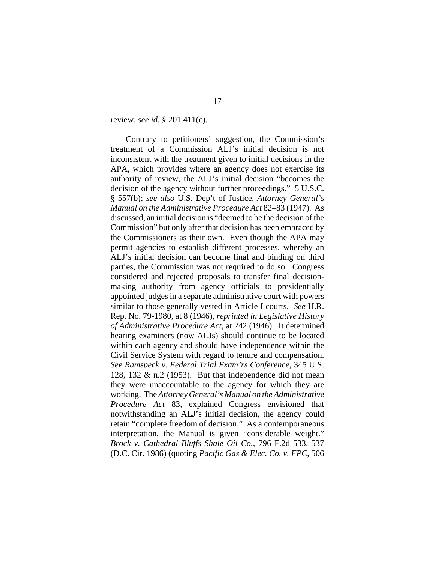review, *see id.* § 201.411(c).

Contrary to petitioners' suggestion, the Commission's treatment of a Commission ALJ's initial decision is not inconsistent with the treatment given to initial decisions in the APA, which provides where an agency does not exercise its authority of review, the ALJ's initial decision "becomes the decision of the agency without further proceedings." 5 U.S.C. § 557(b); *see also* U.S. Dep't of Justice, *Attorney General's Manual on the Administrative Procedure Act* 82–83 (1947). As discussed, an initial decision is "deemed to be the decision of the Commission" but only after that decision has been embraced by the Commissioners as their own. Even though the APA may permit agencies to establish different processes, whereby an ALJ's initial decision can become final and binding on third parties, the Commission was not required to do so. Congress considered and rejected proposals to transfer final decisionmaking authority from agency officials to presidentially appointed judges in a separate administrative court with powers similar to those generally vested in Article I courts. *See* H.R. Rep. No. 79-1980, at 8 (1946), *reprinted in Legislative History of Administrative Procedure Act*, at 242 (1946). It determined hearing examiners (now ALJs) should continue to be located within each agency and should have independence within the Civil Service System with regard to tenure and compensation. *See Ramspeck v. Federal Trial Exam'rs Conference*, 345 U.S. 128, 132  $\&$  n.2 (1953). But that independence did not mean they were unaccountable to the agency for which they are working. The *Attorney General's Manual on the Administrative Procedure Act* 83*,* explained Congress envisioned that notwithstanding an ALJ's initial decision, the agency could retain "complete freedom of decision." As a contemporaneous interpretation, the Manual is given "considerable weight." *Brock v. Cathedral Bluffs Shale Oil Co.*, 796 F.2d 533, 537 (D.C. Cir. 1986) (quoting *Pacific Gas & Elec. Co. v. FPC*, 506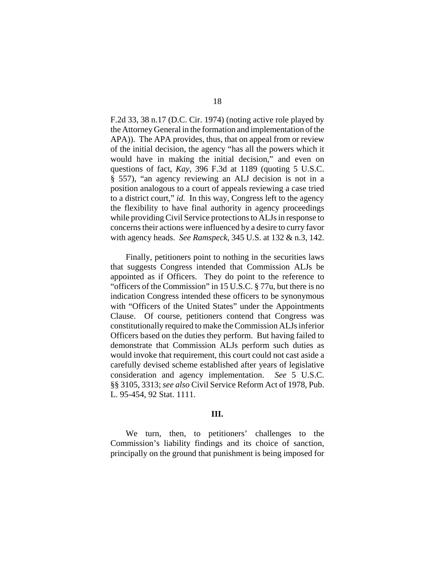F.2d 33, 38 n.17 (D.C. Cir. 1974) (noting active role played by the Attorney General in the formation and implementation of the APA)). The APA provides, thus, that on appeal from or review of the initial decision, the agency "has all the powers which it would have in making the initial decision," and even on questions of fact, *Kay*, 396 F.3d at 1189 (quoting 5 U.S.C. § 557), "an agency reviewing an ALJ decision is not in a position analogous to a court of appeals reviewing a case tried to a district court," *id.* In this way, Congress left to the agency the flexibility to have final authority in agency proceedings while providing Civil Service protections to ALJs in response to concerns their actions were influenced by a desire to curry favor with agency heads. *See Ramspeck*, 345 U.S. at 132 & n.3, 142.

Finally, petitioners point to nothing in the securities laws that suggests Congress intended that Commission ALJs be appointed as if Officers. They do point to the reference to "officers of the Commission" in 15 U.S.C. § 77u, but there is no indication Congress intended these officers to be synonymous with "Officers of the United States" under the Appointments Clause. Of course, petitioners contend that Congress was constitutionally required to make the Commission ALJs inferior Officers based on the duties they perform. But having failed to demonstrate that Commission ALJs perform such duties as would invoke that requirement, this court could not cast aside a carefully devised scheme established after years of legislative consideration and agency implementation. *See* 5 U.S.C. §§ 3105, 3313; *see also* Civil Service Reform Act of 1978, Pub. L. 95-454, 92 Stat. 1111.

## **III.**

We turn, then, to petitioners' challenges to the Commission's liability findings and its choice of sanction, principally on the ground that punishment is being imposed for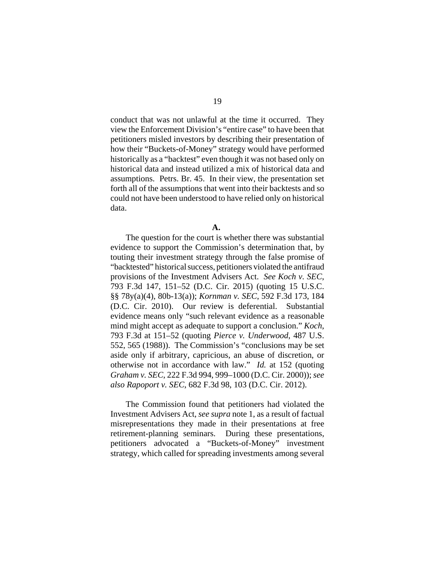conduct that was not unlawful at the time it occurred. They view the Enforcement Division's "entire case" to have been that petitioners misled investors by describing their presentation of how their "Buckets-of-Money" strategy would have performed historically as a "backtest" even though it was not based only on historical data and instead utilized a mix of historical data and assumptions. Petrs. Br. 45. In their view, the presentation set forth all of the assumptions that went into their backtests and so could not have been understood to have relied only on historical data.

**A.** 

The question for the court is whether there was substantial evidence to support the Commission's determination that, by touting their investment strategy through the false promise of "backtested" historical success, petitioners violated the antifraud provisions of the Investment Advisers Act. *See Koch v. SEC*, 793 F.3d 147, 151–52 (D.C. Cir. 2015) (quoting 15 U.S.C. §§ 78y(a)(4), 80b-13(a)); *Kornman v. SEC*, 592 F.3d 173, 184 (D.C. Cir. 2010). Our review is deferential. Substantial evidence means only "such relevant evidence as a reasonable mind might accept as adequate to support a conclusion." *Koch*, 793 F.3d at 151–52 (quoting *Pierce v. Underwood*, 487 U.S. 552, 565 (1988)). The Commission's "conclusions may be set aside only if arbitrary, capricious, an abuse of discretion, or otherwise not in accordance with law." *Id.* at 152 (quoting *Graham v. SEC*, 222 F.3d 994, 999–1000 (D.C. Cir. 2000)); *see also Rapoport v. SEC*, 682 F.3d 98, 103 (D.C. Cir. 2012).

The Commission found that petitioners had violated the Investment Advisers Act, *see supra* note 1, as a result of factual misrepresentations they made in their presentations at free retirement-planning seminars. During these presentations, petitioners advocated a "Buckets-of-Money" investment strategy, which called for spreading investments among several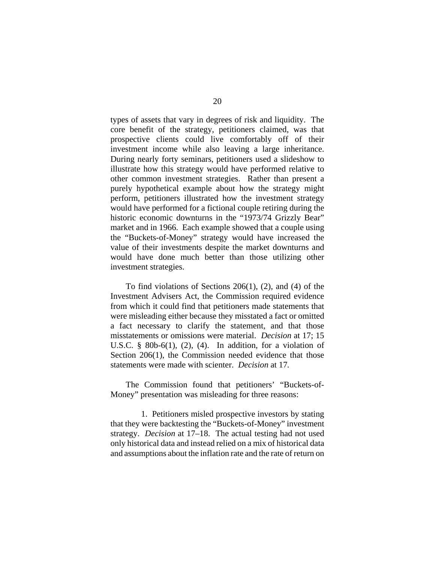types of assets that vary in degrees of risk and liquidity. The core benefit of the strategy, petitioners claimed, was that prospective clients could live comfortably off of their investment income while also leaving a large inheritance. During nearly forty seminars, petitioners used a slideshow to illustrate how this strategy would have performed relative to other common investment strategies. Rather than present a purely hypothetical example about how the strategy might perform, petitioners illustrated how the investment strategy would have performed for a fictional couple retiring during the historic economic downturns in the "1973/74 Grizzly Bear" market and in 1966. Each example showed that a couple using the "Buckets-of-Money" strategy would have increased the value of their investments despite the market downturns and would have done much better than those utilizing other investment strategies.

To find violations of Sections 206(1), (2), and (4) of the Investment Advisers Act, the Commission required evidence from which it could find that petitioners made statements that were misleading either because they misstated a fact or omitted a fact necessary to clarify the statement, and that those misstatements or omissions were material. *Decision* at 17; 15 U.S.C.  $§$  80b-6(1), (2), (4). In addition, for a violation of Section 206(1), the Commission needed evidence that those statements were made with scienter. *Decision* at 17*.*

The Commission found that petitioners' "Buckets-of-Money" presentation was misleading for three reasons:

1. Petitioners misled prospective investors by stating that they were backtesting the "Buckets-of-Money" investment strategy. *Decision* at 17–18. The actual testing had not used only historical data and instead relied on a mix of historical data and assumptions about the inflation rate and the rate of return on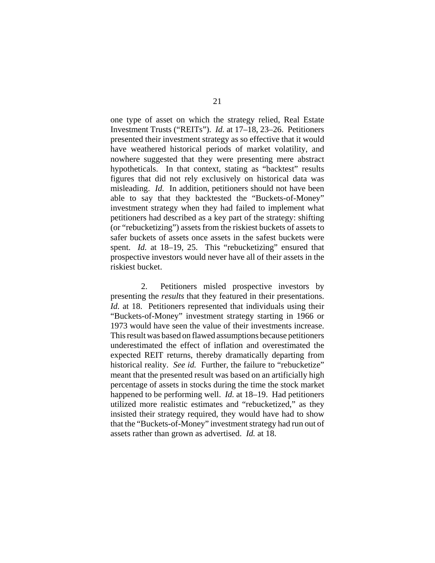one type of asset on which the strategy relied, Real Estate Investment Trusts ("REITs"). *Id.* at 17–18, 23–26. Petitioners presented their investment strategy as so effective that it would have weathered historical periods of market volatility, and nowhere suggested that they were presenting mere abstract hypotheticals. In that context, stating as "backtest" results figures that did not rely exclusively on historical data was misleading. *Id.* In addition, petitioners should not have been able to say that they backtested the "Buckets-of-Money" investment strategy when they had failed to implement what petitioners had described as a key part of the strategy: shifting (or "rebucketizing") assets from the riskiest buckets of assets to safer buckets of assets once assets in the safest buckets were spent. *Id.* at 18–19, 25. This "rebucketizing" ensured that prospective investors would never have all of their assets in the riskiest bucket.

2. Petitioners misled prospective investors by presenting the *results* that they featured in their presentations. *Id.* at 18. Petitioners represented that individuals using their "Buckets-of-Money" investment strategy starting in 1966 or 1973 would have seen the value of their investments increase. This result was based on flawed assumptions because petitioners underestimated the effect of inflation and overestimated the expected REIT returns, thereby dramatically departing from historical reality. *See id.* Further, the failure to "rebucketize" meant that the presented result was based on an artificially high percentage of assets in stocks during the time the stock market happened to be performing well. *Id.* at 18–19. Had petitioners utilized more realistic estimates and "rebucketized," as they insisted their strategy required, they would have had to show that the "Buckets-of-Money" investment strategy had run out of assets rather than grown as advertised. *Id.* at 18.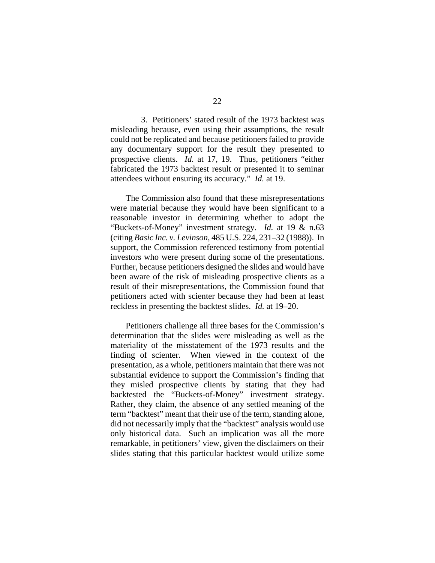3. Petitioners' stated result of the 1973 backtest was misleading because, even using their assumptions, the result could not be replicated and because petitioners failed to provide any documentary support for the result they presented to prospective clients. *Id.* at 17, 19. Thus, petitioners "either fabricated the 1973 backtest result or presented it to seminar attendees without ensuring its accuracy." *Id.* at 19.

The Commission also found that these misrepresentations were material because they would have been significant to a reasonable investor in determining whether to adopt the "Buckets-of-Money" investment strategy. *Id.* at 19 & n.63 (citing *Basic Inc. v. Levinson*, 485 U.S. 224, 231–32 (1988)). In support, the Commission referenced testimony from potential investors who were present during some of the presentations. Further, because petitioners designed the slides and would have been aware of the risk of misleading prospective clients as a result of their misrepresentations, the Commission found that petitioners acted with scienter because they had been at least reckless in presenting the backtest slides. *Id.* at 19–20.

Petitioners challenge all three bases for the Commission's determination that the slides were misleading as well as the materiality of the misstatement of the 1973 results and the finding of scienter. When viewed in the context of the presentation, as a whole, petitioners maintain that there was not substantial evidence to support the Commission's finding that they misled prospective clients by stating that they had backtested the "Buckets-of-Money" investment strategy. Rather, they claim, the absence of any settled meaning of the term "backtest" meant that their use of the term, standing alone, did not necessarily imply that the "backtest" analysis would use only historical data. Such an implication was all the more remarkable, in petitioners' view, given the disclaimers on their slides stating that this particular backtest would utilize some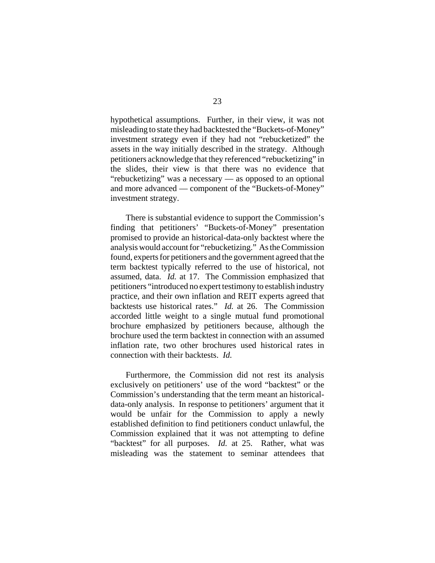hypothetical assumptions. Further, in their view, it was not misleading to state they had backtested the "Buckets-of-Money" investment strategy even if they had not "rebucketized" the assets in the way initially described in the strategy. Although petitioners acknowledge that they referenced "rebucketizing" in the slides, their view is that there was no evidence that "rebucketizing" was a necessary — as opposed to an optional and more advanced — component of the "Buckets-of-Money" investment strategy.

There is substantial evidence to support the Commission's finding that petitioners' "Buckets-of-Money" presentation promised to provide an historical-data-only backtest where the analysis would account for "rebucketizing." As the Commission found, experts for petitioners and the government agreed that the term backtest typically referred to the use of historical, not assumed, data. *Id.* at 17. The Commission emphasized that petitioners "introduced no expert testimony to establish industry practice, and their own inflation and REIT experts agreed that backtests use historical rates." *Id.* at 26. The Commission accorded little weight to a single mutual fund promotional brochure emphasized by petitioners because, although the brochure used the term backtest in connection with an assumed inflation rate, two other brochures used historical rates in connection with their backtests. *Id.*

Furthermore, the Commission did not rest its analysis exclusively on petitioners' use of the word "backtest" or the Commission's understanding that the term meant an historicaldata-only analysis. In response to petitioners' argument that it would be unfair for the Commission to apply a newly established definition to find petitioners conduct unlawful, the Commission explained that it was not attempting to define "backtest" for all purposes. *Id.* at 25. Rather, what was misleading was the statement to seminar attendees that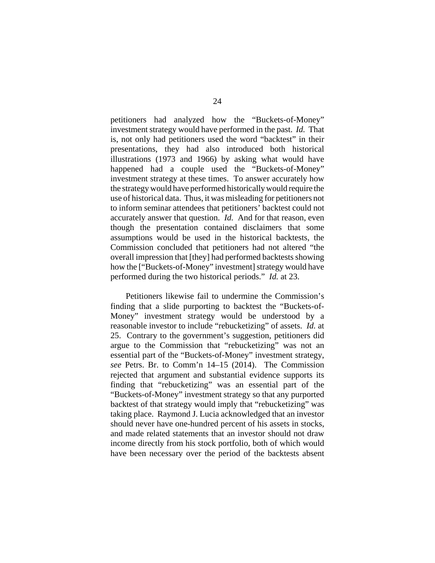petitioners had analyzed how the "Buckets-of-Money" investment strategy would have performed in the past. *Id.* That is, not only had petitioners used the word "backtest" in their presentations, they had also introduced both historical illustrations (1973 and 1966) by asking what would have happened had a couple used the "Buckets-of-Money" investment strategy at these times. To answer accurately how the strategy would have performed historically would require the use of historical data. Thus, it was misleading for petitioners not to inform seminar attendees that petitioners' backtest could not accurately answer that question. *Id.* And for that reason, even though the presentation contained disclaimers that some assumptions would be used in the historical backtests, the Commission concluded that petitioners had not altered "the overall impression that [they] had performed backtests showing how the ["Buckets-of-Money" investment] strategy would have performed during the two historical periods." *Id.* at 23.

Petitioners likewise fail to undermine the Commission's finding that a slide purporting to backtest the "Buckets-of-Money" investment strategy would be understood by a reasonable investor to include "rebucketizing" of assets. *Id.* at 25. Contrary to the government's suggestion, petitioners did argue to the Commission that "rebucketizing" was not an essential part of the "Buckets-of-Money" investment strategy, *see* Petrs. Br. to Comm'n 14–15 (2014). The Commission rejected that argument and substantial evidence supports its finding that "rebucketizing" was an essential part of the "Buckets-of-Money" investment strategy so that any purported backtest of that strategy would imply that "rebucketizing" was taking place. Raymond J. Lucia acknowledged that an investor should never have one-hundred percent of his assets in stocks, and made related statements that an investor should not draw income directly from his stock portfolio, both of which would have been necessary over the period of the backtests absent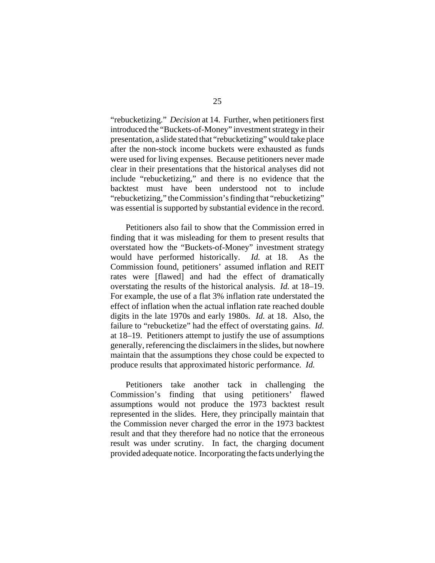"rebucketizing." *Decision* at 14. Further, when petitioners first introduced the "Buckets-of-Money" investment strategy in their presentation, a slide stated that "rebucketizing" would take place after the non-stock income buckets were exhausted as funds were used for living expenses. Because petitioners never made clear in their presentations that the historical analyses did not include "rebucketizing," and there is no evidence that the backtest must have been understood not to include "rebucketizing," the Commission's finding that "rebucketizing" was essential is supported by substantial evidence in the record.

Petitioners also fail to show that the Commission erred in finding that it was misleading for them to present results that overstated how the "Buckets-of-Money" investment strategy would have performed historically. *Id.* at 18. As the Commission found, petitioners' assumed inflation and REIT rates were [flawed] and had the effect of dramatically overstating the results of the historical analysis. *Id.* at 18–19. For example, the use of a flat 3% inflation rate understated the effect of inflation when the actual inflation rate reached double digits in the late 1970s and early 1980s. *Id.* at 18. Also, the failure to "rebucketize" had the effect of overstating gains. *Id.* at 18–19. Petitioners attempt to justify the use of assumptions generally, referencing the disclaimers in the slides, but nowhere maintain that the assumptions they chose could be expected to produce results that approximated historic performance. *Id.*

Petitioners take another tack in challenging the Commission's finding that using petitioners' flawed assumptions would not produce the 1973 backtest result represented in the slides. Here, they principally maintain that the Commission never charged the error in the 1973 backtest result and that they therefore had no notice that the erroneous result was under scrutiny. In fact, the charging document provided adequate notice. Incorporating the facts underlying the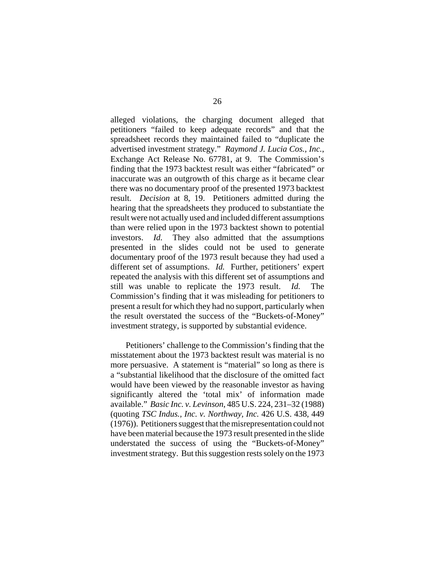alleged violations, the charging document alleged that petitioners "failed to keep adequate records" and that the spreadsheet records they maintained failed to "duplicate the advertised investment strategy." *Raymond J. Lucia Cos., Inc.*, Exchange Act Release No. 67781, at 9. The Commission's finding that the 1973 backtest result was either "fabricated" or inaccurate was an outgrowth of this charge as it became clear there was no documentary proof of the presented 1973 backtest result. *Decision* at 8, 19. Petitioners admitted during the hearing that the spreadsheets they produced to substantiate the result were not actually used and included different assumptions than were relied upon in the 1973 backtest shown to potential investors. *Id.* They also admitted that the assumptions presented in the slides could not be used to generate documentary proof of the 1973 result because they had used a different set of assumptions. *Id.* Further, petitioners' expert repeated the analysis with this different set of assumptions and still was unable to replicate the 1973 result. *Id.* The Commission's finding that it was misleading for petitioners to present a result for which they had no support, particularly when the result overstated the success of the "Buckets-of-Money" investment strategy, is supported by substantial evidence.

Petitioners' challenge to the Commission's finding that the misstatement about the 1973 backtest result was material is no more persuasive. A statement is "material" so long as there is a "substantial likelihood that the disclosure of the omitted fact would have been viewed by the reasonable investor as having significantly altered the 'total mix' of information made available." *Basic Inc. v. Levinson*, 485 U.S. 224, 231–32 (1988) (quoting *TSC Indus., Inc. v. Northway, Inc.* 426 U.S. 438, 449 (1976)). Petitioners suggest that the misrepresentation could not have been material because the 1973 result presented in the slide understated the success of using the "Buckets-of-Money" investment strategy. But this suggestion rests solely on the 1973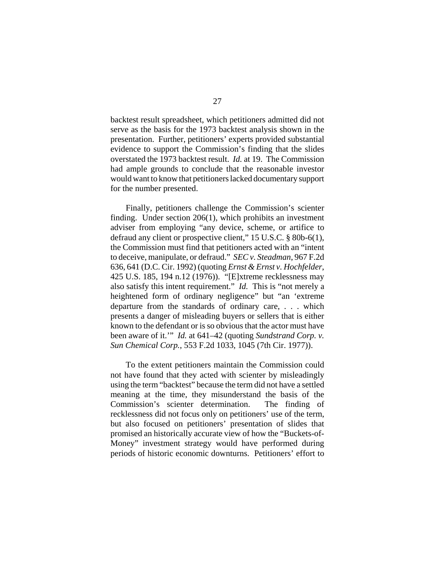backtest result spreadsheet, which petitioners admitted did not serve as the basis for the 1973 backtest analysis shown in the presentation. Further, petitioners' experts provided substantial evidence to support the Commission's finding that the slides overstated the 1973 backtest result. *Id.* at 19. The Commission had ample grounds to conclude that the reasonable investor would want to know that petitioners lacked documentary support for the number presented.

Finally, petitioners challenge the Commission's scienter finding. Under section 206(1), which prohibits an investment adviser from employing "any device, scheme, or artifice to defraud any client or prospective client," 15 U.S.C. § 80b-6(1), the Commission must find that petitioners acted with an "intent to deceive, manipulate, or defraud." *SEC v. Steadman*, 967 F.2d 636, 641 (D.C. Cir. 1992) (quoting *Ernst & Ernst v. Hochfelder*, 425 U.S. 185, 194 n.12 (1976)). "[E]xtreme recklessness may also satisfy this intent requirement." *Id.* This is "not merely a heightened form of ordinary negligence" but "an 'extreme departure from the standards of ordinary care, . . . which presents a danger of misleading buyers or sellers that is either known to the defendant or is so obvious that the actor must have been aware of it.'" *Id.* at 641–42 (quoting *Sundstrand Corp. v. Sun Chemical Corp.*, 553 F.2d 1033, 1045 (7th Cir. 1977)).

To the extent petitioners maintain the Commission could not have found that they acted with scienter by misleadingly using the term "backtest" because the term did not have a settled meaning at the time, they misunderstand the basis of the Commission's scienter determination. The finding of recklessness did not focus only on petitioners' use of the term, but also focused on petitioners' presentation of slides that promised an historically accurate view of how the "Buckets-of-Money" investment strategy would have performed during periods of historic economic downturns. Petitioners' effort to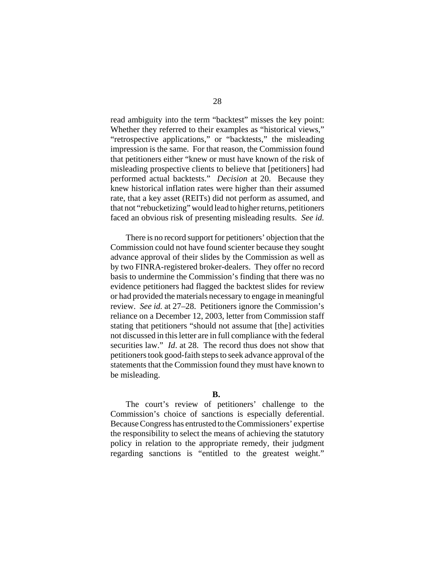read ambiguity into the term "backtest" misses the key point: Whether they referred to their examples as "historical views," "retrospective applications," or "backtests," the misleading impression is the same. For that reason, the Commission found that petitioners either "knew or must have known of the risk of misleading prospective clients to believe that [petitioners] had performed actual backtests." *Decision* at 20. Because they knew historical inflation rates were higher than their assumed rate, that a key asset (REITs) did not perform as assumed, and that not "rebucketizing" would lead to higher returns, petitioners faced an obvious risk of presenting misleading results. *See id.* 

There is no record support for petitioners' objection that the Commission could not have found scienter because they sought advance approval of their slides by the Commission as well as by two FINRA-registered broker-dealers. They offer no record basis to undermine the Commission's finding that there was no evidence petitioners had flagged the backtest slides for review or had provided the materials necessary to engage in meaningful review. *See id.* at 27–28. Petitioners ignore the Commission's reliance on a December 12, 2003, letter from Commission staff stating that petitioners "should not assume that [the] activities not discussed in this letter are in full compliance with the federal securities law." *Id*. at 28. The record thus does not show that petitioners took good-faith steps to seek advance approval of the statements that the Commission found they must have known to be misleading.

## **B.**

The court's review of petitioners' challenge to the Commission's choice of sanctions is especially deferential. Because Congress has entrusted to the Commissioners' expertise the responsibility to select the means of achieving the statutory policy in relation to the appropriate remedy, their judgment regarding sanctions is "entitled to the greatest weight."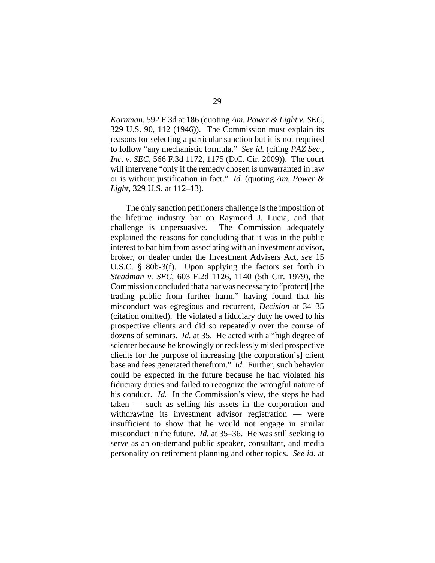*Kornman*, 592 F.3d at 186 (quoting *Am. Power & Light v. SEC*, 329 U.S. 90, 112 (1946)). The Commission must explain its reasons for selecting a particular sanction but it is not required to follow "any mechanistic formula." *See id.* (citing *PAZ Sec*., *Inc. v. SEC*, 566 F.3d 1172, 1175 (D.C. Cir. 2009)). The court will intervene "only if the remedy chosen is unwarranted in law or is without justification in fact." *Id.* (quoting *Am. Power & Light*, 329 U.S. at 112–13).

The only sanction petitioners challenge is the imposition of the lifetime industry bar on Raymond J. Lucia, and that challenge is unpersuasive. The Commission adequately explained the reasons for concluding that it was in the public interest to bar him from associating with an investment advisor, broker, or dealer under the Investment Advisers Act, *see* 15 U.S.C. § 80b-3(f). Upon applying the factors set forth in *Steadman v. SEC*, 603 F.2d 1126, 1140 (5th Cir. 1979), the Commission concluded that a bar was necessary to "protect[] the trading public from further harm," having found that his misconduct was egregious and recurrent, *Decision* at 34–35 (citation omitted). He violated a fiduciary duty he owed to his prospective clients and did so repeatedly over the course of dozens of seminars. *Id.* at 35. He acted with a "high degree of scienter because he knowingly or recklessly misled prospective clients for the purpose of increasing [the corporation's] client base and fees generated therefrom." *Id.* Further, such behavior could be expected in the future because he had violated his fiduciary duties and failed to recognize the wrongful nature of his conduct. *Id.* In the Commission's view, the steps he had taken — such as selling his assets in the corporation and withdrawing its investment advisor registration — were insufficient to show that he would not engage in similar misconduct in the future. *Id.* at 35–36. He was still seeking to serve as an on-demand public speaker, consultant, and media personality on retirement planning and other topics. *See id.* at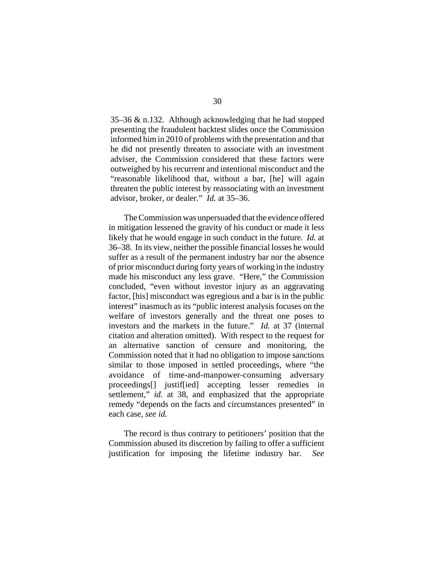35–36 & n.132. Although acknowledging that he had stopped presenting the fraudulent backtest slides once the Commission informed him in 2010 of problems with the presentation and that he did not presently threaten to associate with an investment adviser, the Commission considered that these factors were outweighed by his recurrent and intentional misconduct and the "reasonable likelihood that, without a bar, [he] will again threaten the public interest by reassociating with an investment advisor, broker, or dealer." *Id.* at 35–36.

The Commission was unpersuaded that the evidence offered in mitigation lessened the gravity of his conduct or made it less likely that he would engage in such conduct in the future. *Id.* at 36–38. In its view, neither the possible financial losses he would suffer as a result of the permanent industry bar nor the absence of prior misconduct during forty years of working in the industry made his misconduct any less grave. "Here," the Commission concluded, "even without investor injury as an aggravating factor, [his] misconduct was egregious and a bar is in the public interest" inasmuch as its "public interest analysis focuses on the welfare of investors generally and the threat one poses to investors and the markets in the future." *Id.* at 37 (internal citation and alteration omitted). With respect to the request for an alternative sanction of censure and monitoring, the Commission noted that it had no obligation to impose sanctions similar to those imposed in settled proceedings, where "the avoidance of time-and-manpower-consuming adversary proceedings[] justif[ied] accepting lesser remedies in settlement," *id.* at 38, and emphasized that the appropriate remedy "depends on the facts and circumstances presented" in each case, *see id.* 

The record is thus contrary to petitioners' position that the Commission abused its discretion by failing to offer a sufficient justification for imposing the lifetime industry bar. *See*